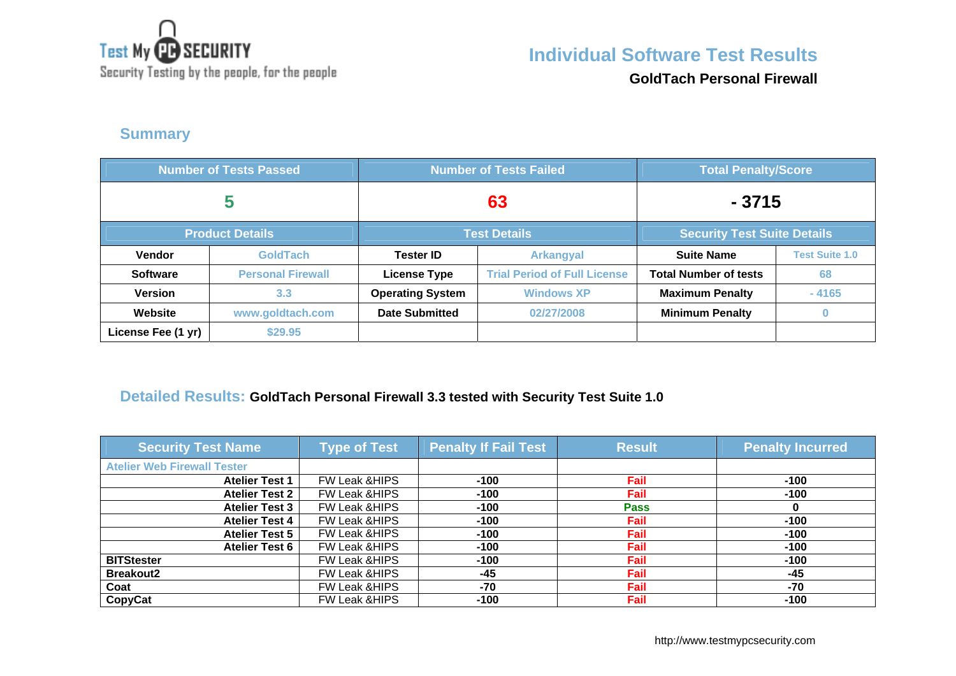

**Individual Software Test Results**

Security Testing by the people, for the people

**GoldTach Personal Firewall**

### **Summary**

| <b>Number of Tests Passed</b> |                          |                         | <b>Number of Tests Failed</b>       | <b>Total Penalty/Score</b>         |                       |
|-------------------------------|--------------------------|-------------------------|-------------------------------------|------------------------------------|-----------------------|
| 5                             |                          | 63                      |                                     | $-3715$                            |                       |
|                               | <b>Product Details</b>   | <b>Test Details</b>     |                                     | <b>Security Test Suite Details</b> |                       |
| <b>Vendor</b>                 | <b>GoldTach</b>          | <b>Tester ID</b>        | <b>Arkangyal</b>                    | <b>Suite Name</b>                  | <b>Test Suite 1.0</b> |
| <b>Software</b>               | <b>Personal Firewall</b> | <b>License Type</b>     | <b>Trial Period of Full License</b> | <b>Total Number of tests</b>       | 68                    |
| <b>Version</b>                | 3.3                      | <b>Operating System</b> | <b>Windows XP</b>                   | <b>Maximum Penalty</b>             | $-4165$               |
| Website                       | www.goldtach.com         | <b>Date Submitted</b>   | 02/27/2008                          | <b>Minimum Penalty</b>             |                       |
| License Fee (1 yr)            | \$29.95                  |                         |                                     |                                    |                       |

### **Detailed Results: GoldTach Personal Firewall 3.3 tested with Security Test Suite 1.0**

| <b>Security Test Name</b>          | <b>Type of Test</b>      | <b>Penalty If Fail Test</b> | <b>Result</b> | <b>Penalty Incurred</b> |
|------------------------------------|--------------------------|-----------------------------|---------------|-------------------------|
| <b>Atelier Web Firewall Tester</b> |                          |                             |               |                         |
| <b>Atelier Test 1</b>              | FW Leak & HIPS           | $-100$                      | Fail          | $-100$                  |
| <b>Atelier Test 2</b>              | FW Leak &HIPS            | $-100$                      | Fail          | $-100$                  |
| <b>Atelier Test 3</b>              | FW Leak &HIPS            | $-100$                      | <b>Pass</b>   |                         |
| <b>Atelier Test 4</b>              | FW Leak &HIPS            | $-100$                      | Fail          | $-100$                  |
| <b>Atelier Test 5</b>              | FW Leak & HIPS           | $-100$                      | Fail          | $-100$                  |
| <b>Atelier Test 6</b>              | FW Leak & HIPS           | $-100$                      | Fail          | $-100$                  |
| <b>BITStester</b>                  | <b>FW Leak &amp;HIPS</b> | $-100$                      | Fail          | $-100$                  |
| <b>Breakout2</b>                   | <b>FW Leak &amp;HIPS</b> | $-45$                       | Fail          | -45                     |
| Coat                               | <b>FW Leak &amp;HIPS</b> | $-70$                       | Fail          | $-70$                   |
| CopyCat                            | <b>FW Leak &amp;HIPS</b> | $-100$                      | Fail          | $-100$                  |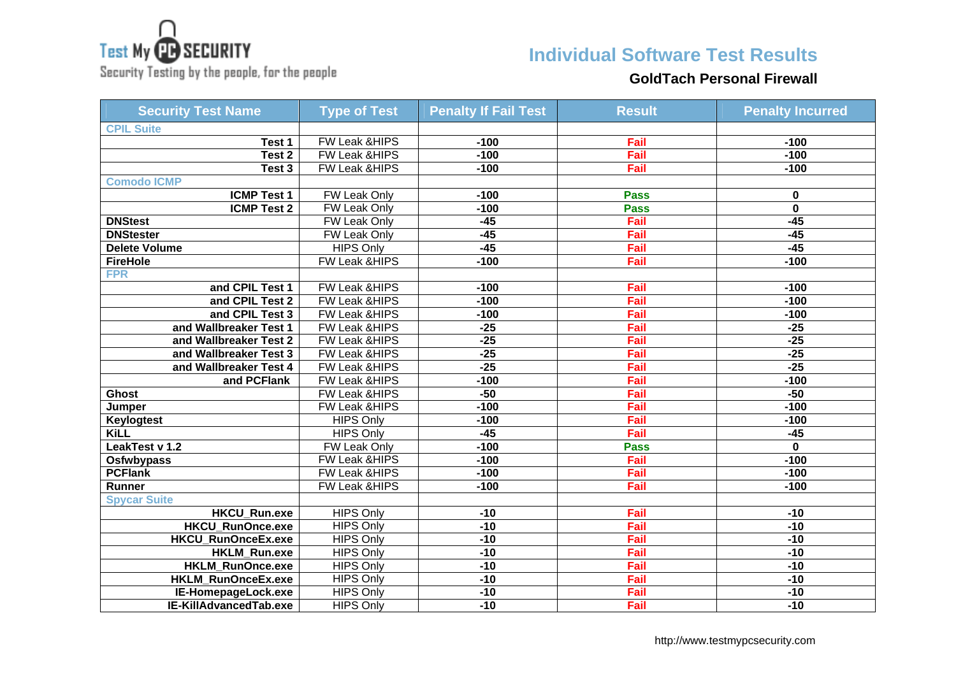

Security Testing by the people, for the people

## **Individual Software Test Results**

#### **GoldTach Personal Firewall**

| <b>Security Test Name</b> | <b>Type of Test</b>      | <b>Penalty If Fail Test</b> | <b>Result</b> | <b>Penalty Incurred</b> |
|---------------------------|--------------------------|-----------------------------|---------------|-------------------------|
| <b>CPIL Suite</b>         |                          |                             |               |                         |
| Test 1                    | FW Leak &HIPS            | $-100$                      | Fail          | $-100$                  |
| Test 2                    | FW Leak & HIPS           | $-100$                      | Fail          | $-100$                  |
| Test 3                    | <b>FW Leak &amp;HIPS</b> | $-100$                      | Fail          | $-100$                  |
| <b>Comodo ICMP</b>        |                          |                             |               |                         |
| <b>ICMP Test 1</b>        | <b>FW Leak Only</b>      | $-100$                      | <b>Pass</b>   | 0                       |
| <b>ICMP Test 2</b>        | <b>FW Leak Only</b>      | $-100$                      | <b>Pass</b>   | $\overline{\mathbf{0}}$ |
| <b>DNStest</b>            | FW Leak Only             | $-45$                       | Fail          | $-45$                   |
| <b>DNStester</b>          | FW Leak Only             | $-45$                       | Fail          | $-45$                   |
| Delete Volume             | <b>HIPS Only</b>         | $-45$                       | Fail          | $-45$                   |
| <b>FireHole</b>           | FW Leak & HIPS           | $-100$                      | Fail          | $-100$                  |
| <b>FPR</b>                |                          |                             |               |                         |
| and CPIL Test 1           | FW Leak & HIPS           | $-100$                      | Fail          | $-100$                  |
| and CPIL Test 2           | FW Leak & HIPS           | $-100$                      | Fail          | $-100$                  |
| and CPIL Test 3           | FW Leak & HIPS           | $-100$                      | Fail          | $-100$                  |
| and Wallbreaker Test 1    | FW Leak &HIPS            | $-25$                       | Fail          | $-25$                   |
| and Wallbreaker Test 2    | FW Leak & HIPS           | $-25$                       | Fail          | $-25$                   |
| and Wallbreaker Test 3    | FW Leak &HIPS            | $-25$                       | Fail          | $-25$                   |
| and Wallbreaker Test 4    | FW Leak &HIPS            | $-25$                       | Fail          | $-25$                   |
| and PCFlank               | FW Leak & HIPS           | $-100$                      | Fail          | $-100$                  |
| <b>Ghost</b>              | FW Leak & HIPS           | $-50$                       | Fail          | $-50$                   |
| Jumper                    | FW Leak & HIPS           | $-100$                      | Fail          | $-100$                  |
| Keylogtest                | <b>HIPS Only</b>         | $-100$                      | Fail          | $-100$                  |
| <b>KiLL</b>               | <b>HIPS Only</b>         | $-45$                       | Fail          | $-45$                   |
| LeakTest v 1.2            | FW Leak Only             | $-100$                      | <b>Pass</b>   | 0                       |
| Osfwbypass                | <b>FW Leak &amp;HIPS</b> | $-100$                      | Fail          | $-100$                  |
| <b>PCFlank</b>            | FW Leak & HIPS           | $-100$                      | Fail          | $-100$                  |
| Runner                    | FW Leak & HIPS           | $-100$                      | Fail          | $-100$                  |
| <b>Spycar Suite</b>       |                          |                             |               |                         |
| <b>HKCU_Run.exe</b>       | <b>HIPS Only</b>         | $-10$                       | Fail          | $-10$                   |
| <b>HKCU RunOnce.exe</b>   | <b>HIPS Only</b>         | $-10$                       | Fail          | $-10$                   |
| HKCU_RunOnceEx.exe        | <b>HIPS Only</b>         | $-10$                       | Fail          | $-10$                   |
| <b>HKLM Run.exe</b>       | <b>HIPS Only</b>         | $-10$                       | Fail          | $-10$                   |
| <b>HKLM RunOnce.exe</b>   | <b>HIPS Only</b>         | $-10$                       | Fail          | $-10$                   |
| HKLM_RunOnceEx.exe        | <b>HIPS Only</b>         | $-10$                       | Fail          | $-10$                   |
| IE-HomepageLock.exe       | <b>HIPS Only</b>         | $-10$                       | Fail          | $-10$                   |
| IE-KillAdvancedTab.exe    | <b>HIPS Only</b>         | $-10$                       | Fail          | $-10$                   |